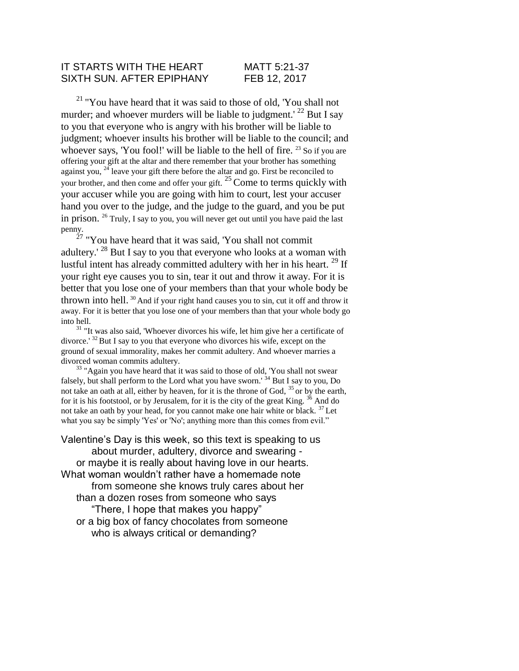#### IT STARTS WITH THE HEART MATT 5:21-37 SIXTH SUN. AFTER EPIPHANY FEB 12, 2017

 $^{21}$  "You have heard that it was said to those of old, 'You shall not murder; and whoever murders will be liable to judgment.<sup>' 22</sup> But I say to you that everyone who is angry with his brother will be liable to judgment; whoever insults his brother will be liable to the council; and whoever says, 'You fool!' will be liable to the hell of fire.  $^{23}$  So if you are offering your gift at the altar and there remember that your brother has something against you,  $24$  leave your gift there before the altar and go. First be reconciled to your brother, and then come and offer your gift.  $^{25}$  Come to terms quickly with your accuser while you are going with him to court, lest your accuser hand you over to the judge, and the judge to the guard, and you be put in prison. <sup>26</sup> Truly, I say to you, you will never get out until you have paid the last penny.

 $^{27}$  "You have heard that it was said, 'You shall not commit adultery.<sup> $28$ </sup> But I say to you that everyone who looks at a woman with lustful intent has already committed adultery with her in his heart. <sup>29</sup> If your right eye causes you to sin, tear it out and throw it away. For it is better that you lose one of your members than that your whole body be thrown into hell.  $30$  And if your right hand causes you to sin, cut it off and throw it away. For it is better that you lose one of your members than that your whole body go into hell.

 $31$  "It was also said, 'Whoever divorces his wife, let him give her a certificate of divorce.'  $32$  But I say to you that everyone who divorces his wife, except on the ground of sexual immorality, makes her commit adultery. And whoever marries a divorced woman commits adultery.

<sup>33</sup> "Again you have heard that it was said to those of old, 'You shall not swear falsely, but shall perform to the Lord what you have sworn.<sup>34</sup> But I say to you, Do not take an oath at all, either by heaven, for it is the throne of God,  $35$  or by the earth, for it is his footstool, or by Jerusalem, for it is the city of the great King.  $36$  And do not take an oath by your head, for you cannot make one hair white or black.  $37$  Let what you say be simply 'Yes' or 'No'; anything more than this comes from evil."

Valentine's Day is this week, so this text is speaking to us about murder, adultery, divorce and swearing or maybe it is really about having love in our hearts. What woman wouldn't rather have a homemade note from someone she knows truly cares about her than a dozen roses from someone who says "There, I hope that makes you happy" or a big box of fancy chocolates from someone who is always critical or demanding?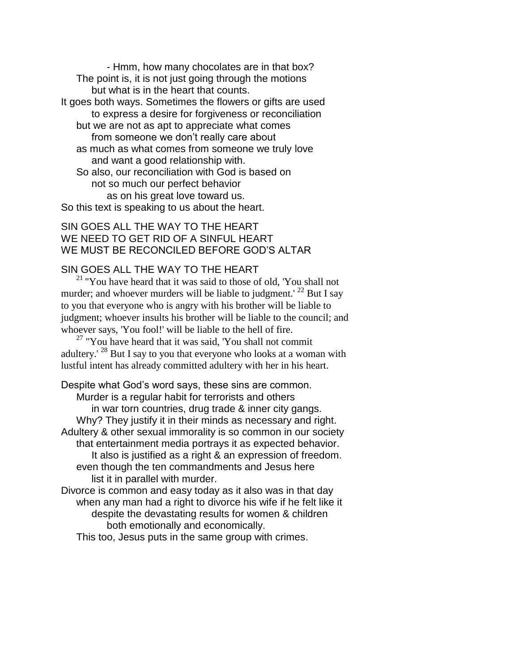- Hmm, how many chocolates are in that box? The point is, it is not just going through the motions but what is in the heart that counts. It goes both ways. Sometimes the flowers or gifts are used to express a desire for forgiveness or reconciliation but we are not as apt to appreciate what comes

from someone we don't really care about

as much as what comes from someone we truly love and want a good relationship with.

So also, our reconciliation with God is based on not so much our perfect behavior as on his great love toward us.

So this text is speaking to us about the heart.

### SIN GOES ALL THE WAY TO THE HEART WE NEED TO GET RID OF A SINFUL HEART WE MUST BE RECONCILED BEFORE GOD'S ALTAR

## SIN GOES ALL THE WAY TO THE HEART

 $21$  "You have heard that it was said to those of old, 'You shall not murder; and whoever murders will be liable to judgment.<sup>' 22</sup> But I say to you that everyone who is angry with his brother will be liable to judgment; whoever insults his brother will be liable to the council; and whoever says, 'You fool!' will be liable to the hell of fire.

 $27$  "You have heard that it was said, 'You shall not commit adultery.<sup>' 28</sup> But I say to you that everyone who looks at a woman with lustful intent has already committed adultery with her in his heart.

Despite what God's word says, these sins are common. Murder is a regular habit for terrorists and others in war torn countries, drug trade & inner city gangs. Why? They justify it in their minds as necessary and right. Adultery & other sexual immorality is so common in our society that entertainment media portrays it as expected behavior. It also is justified as a right & an expression of freedom. even though the ten commandments and Jesus here list it in parallel with murder. Divorce is common and easy today as it also was in that day

when any man had a right to divorce his wife if he felt like it despite the devastating results for women & children both emotionally and economically.

This too, Jesus puts in the same group with crimes.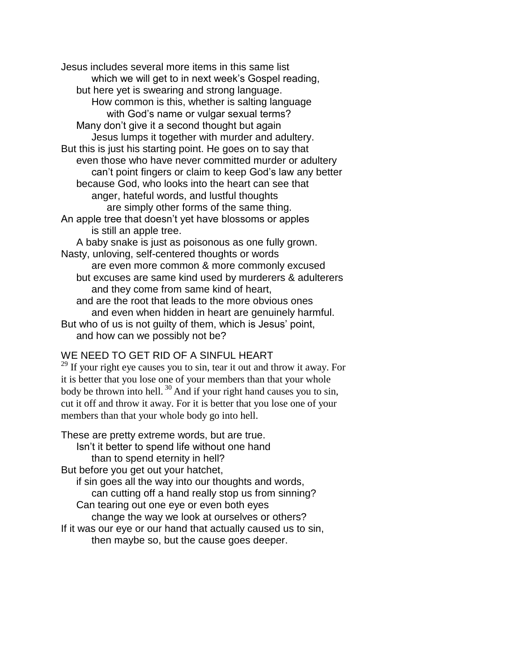Jesus includes several more items in this same list which we will get to in next week's Gospel reading, but here yet is swearing and strong language. How common is this, whether is salting language with God's name or vulgar sexual terms? Many don't give it a second thought but again Jesus lumps it together with murder and adultery. But this is just his starting point. He goes on to say that even those who have never committed murder or adultery can't point fingers or claim to keep God's law any better because God, who looks into the heart can see that anger, hateful words, and lustful thoughts are simply other forms of the same thing. An apple tree that doesn't yet have blossoms or apples is still an apple tree. A baby snake is just as poisonous as one fully grown. Nasty, unloving, self-centered thoughts or words are even more common & more commonly excused but excuses are same kind used by murderers & adulterers and they come from same kind of heart, and are the root that leads to the more obvious ones and even when hidden in heart are genuinely harmful.

But who of us is not guilty of them, which is Jesus' point, and how can we possibly not be?

# WE NEED TO GET RID OF A SINFUL HEART

 $29$  If your right eye causes you to sin, tear it out and throw it away. For it is better that you lose one of your members than that your whole body be thrown into hell.  $30$  And if your right hand causes you to sin, cut it off and throw it away. For it is better that you lose one of your members than that your whole body go into hell.

These are pretty extreme words, but are true. Isn't it better to spend life without one hand than to spend eternity in hell? But before you get out your hatchet, if sin goes all the way into our thoughts and words, can cutting off a hand really stop us from sinning? Can tearing out one eye or even both eyes change the way we look at ourselves or others? If it was our eye or our hand that actually caused us to sin, then maybe so, but the cause goes deeper.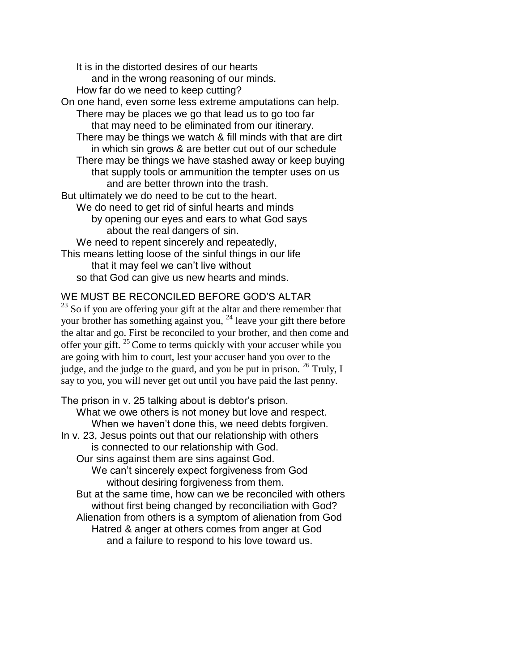It is in the distorted desires of our hearts and in the wrong reasoning of our minds. How far do we need to keep cutting? On one hand, even some less extreme amputations can help. There may be places we go that lead us to go too far that may need to be eliminated from our itinerary. There may be things we watch & fill minds with that are dirt in which sin grows & are better cut out of our schedule There may be things we have stashed away or keep buying that supply tools or ammunition the tempter uses on us and are better thrown into the trash. But ultimately we do need to be cut to the heart. We do need to get rid of sinful hearts and minds by opening our eyes and ears to what God says about the real dangers of sin. We need to repent sincerely and repeatedly, This means letting loose of the sinful things in our life that it may feel we can't live without so that God can give us new hearts and minds.

#### WE MUST BE RECONCILED BEFORE GOD'S ALTAR

<sup>23</sup> So if you are offering your gift at the altar and there remember that your brother has something against you, <sup>24</sup> leave your gift there before the altar and go. First be reconciled to your brother, and then come and offer your gift.  $25$  Come to terms quickly with your accuser while you are going with him to court, lest your accuser hand you over to the judge, and the judge to the guard, and you be put in prison.  $^{26}$  Truly, I say to you, you will never get out until you have paid the last penny.

The prison in v. 25 talking about is debtor's prison. What we owe others is not money but love and respect. When we haven't done this, we need debts forgiven. In v. 23, Jesus points out that our relationship with others is connected to our relationship with God. Our sins against them are sins against God. We can't sincerely expect forgiveness from God without desiring forgiveness from them. But at the same time, how can we be reconciled with others without first being changed by reconciliation with God? Alienation from others is a symptom of alienation from God Hatred & anger at others comes from anger at God and a failure to respond to his love toward us.